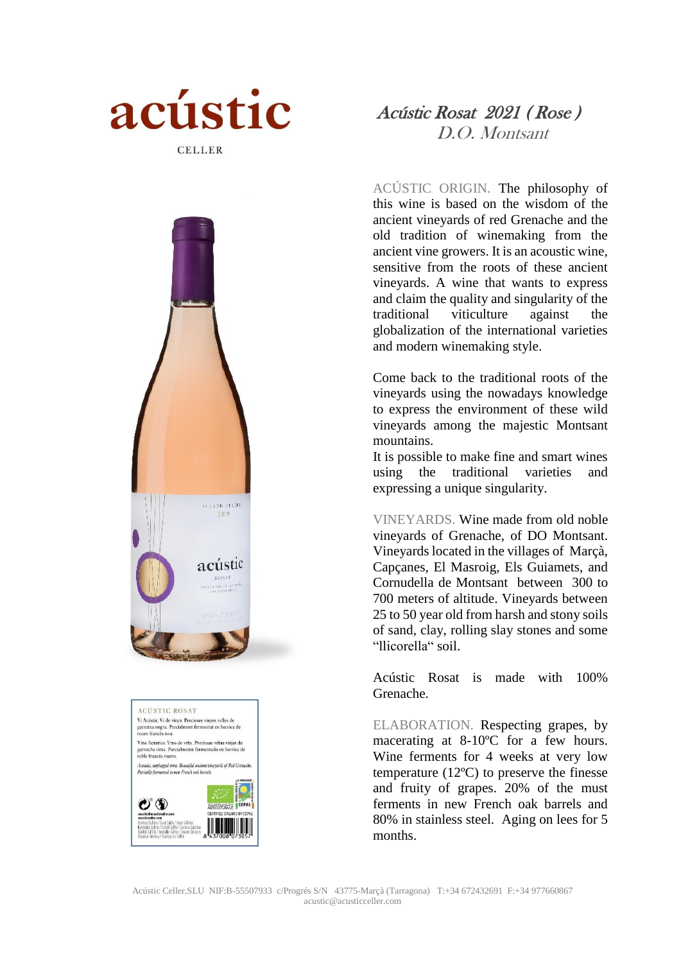





## Acústic Rosat 2021 ( Rose ) D.O. Montsant

ACÚSTIC ORIGIN. The philosophy of this wine is based on the wisdom of the ancient vineyards of red Grenache and the old tradition of winemaking from the ancient vine growers. It is an acoustic wine, sensitive from the roots of these ancient vineyards. A wine that wants to express and claim the quality and singularity of the traditional viticulture against the globalization of the international varieties and modern winemaking style.

Come back to the traditional roots of the vineyards using the nowadays knowledge to express the environment of these wild vineyards among the majestic Montsant mountains.

It is possible to make fine and smart wines using the traditional varieties and expressing a unique singularity.

VINEYARDS. Wine made from old noble vineyards of Grenache, of DO Montsant. Vineyards located in the villages of Marçà, Capçanes, El Masroig, Els Guiamets, and Cornudella de Montsant between 300 to 700 meters of altitude. Vineyards between 25 to 50 year old from harsh and stony soils of sand, clay, rolling slay stones and some "llicorella" soil.

Acústic Rosat is made with 100% Grenache.

ELABORATION. Respecting grapes, by macerating at 8-10ºC for a few hours. Wine ferments for 4 weeks at very low temperature (12ºC) to preserve the finesse and fruity of grapes. 20% of the must ferments in new French oak barrels and 80% in stainless steel. Aging on lees for 5 months.